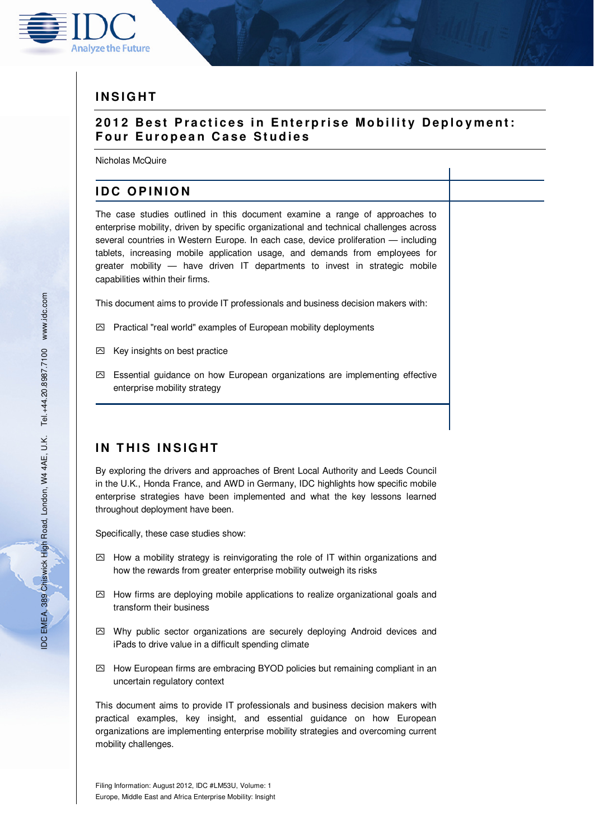

# **I N S I G H T**

# **2012 Best Practices in Enterprise Mobility Deployment: Four European Case Studies**

Nicholas McQuire

# **IDC OPINION**

The case studies outlined in this document examine a range of approaches to enterprise mobility, driven by specific organizational and technical challenges across several countries in Western Europe. In each case, device proliferation — including tablets, increasing mobile application usage, and demands from employees for greater mobility — have driven IT departments to invest in strategic mobile capabilities within their firms.

This document aims to provide IT professionals and business decision makers with:

- $\boxtimes$  Practical "real world" examples of European mobility deployments
- $\boxtimes$  Key insights on best practice
- ִ Essential guidance on how European organizations are implementing effective enterprise mobility strategy

# **IN THIS INSIGHT**

By exploring the drivers and approaches of Brent Local Authority and Leeds Council in the U.K., Honda France, and AWD in Germany, IDC highlights how specific mobile enterprise strategies have been implemented and what the key lessons learned throughout deployment have been.

Specifically, these case studies show:

- $\boxtimes$  How a mobility strategy is reinvigorating the role of IT within organizations and how the rewards from greater enterprise mobility outweigh its risks
- $\boxtimes$  How firms are deploying mobile applications to realize organizational goals and transform their business
- $\boxtimes$  Why public sector organizations are securely deploying Android devices and iPads to drive value in a difficult spending climate
- $\boxtimes$  How European firms are embracing BYOD policies but remaining compliant in an uncertain regulatory context

This document aims to provide IT professionals and business decision makers with practical examples, key insight, and essential guidance on how European organizations are implementing enterprise mobility strategies and overcoming current mobility challenges.

Filing Information: August 2012, IDC #LM53U, Volume: 1 Europe, Middle East and Africa Enterprise Mobility: Insight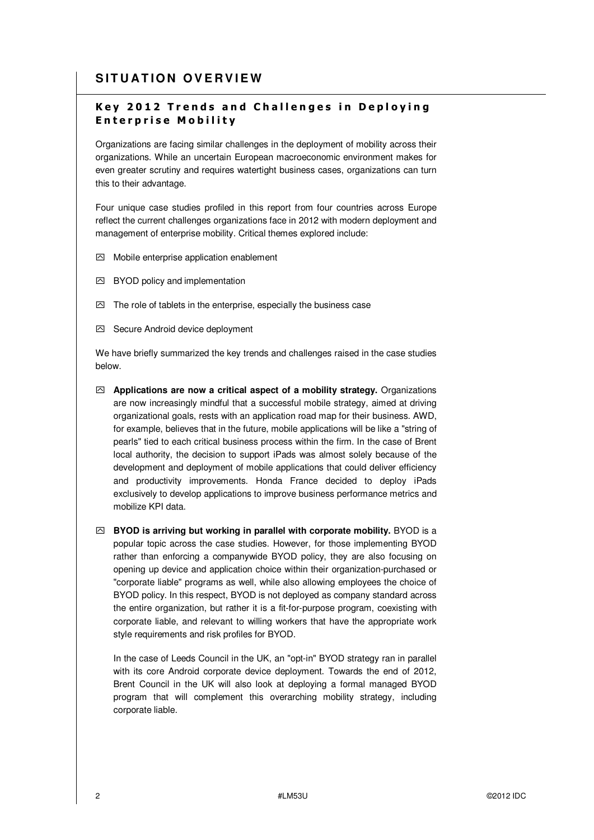# **SITUATION OVERVIEW**

# **Key 2012 Trends and Challenges in Deploying E n t e r p r i s e M o b i l i t y**

Organizations are facing similar challenges in the deployment of mobility across their organizations. While an uncertain European macroeconomic environment makes for even greater scrutiny and requires watertight business cases, organizations can turn this to their advantage.

Four unique case studies profiled in this report from four countries across Europe reflect the current challenges organizations face in 2012 with modern deployment and management of enterprise mobility. Critical themes explored include:

- $\boxdot$  Mobile enterprise application enablement
- ִ BYOD policy and implementation
- $\boxdot$  The role of tablets in the enterprise, especially the business case
- ִ Secure Android device deployment

We have briefly summarized the key trends and challenges raised in the case studies below.

- ִ **Applications are now a critical aspect of a mobility strategy.** Organizations are now increasingly mindful that a successful mobile strategy, aimed at driving organizational goals, rests with an application road map for their business. AWD, for example, believes that in the future, mobile applications will be like a "string of pearls" tied to each critical business process within the firm. In the case of Brent local authority, the decision to support iPads was almost solely because of the development and deployment of mobile applications that could deliver efficiency and productivity improvements. Honda France decided to deploy iPads exclusively to develop applications to improve business performance metrics and mobilize KPI data.
- ִ **BYOD is arriving but working in parallel with corporate mobility.** BYOD is a popular topic across the case studies. However, for those implementing BYOD rather than enforcing a companywide BYOD policy, they are also focusing on opening up device and application choice within their organization-purchased or "corporate liable" programs as well, while also allowing employees the choice of BYOD policy. In this respect, BYOD is not deployed as company standard across the entire organization, but rather it is a fit-for-purpose program, coexisting with corporate liable, and relevant to willing workers that have the appropriate work style requirements and risk profiles for BYOD.

In the case of Leeds Council in the UK, an "opt-in" BYOD strategy ran in parallel with its core Android corporate device deployment. Towards the end of 2012, Brent Council in the UK will also look at deploying a formal managed BYOD program that will complement this overarching mobility strategy, including corporate liable.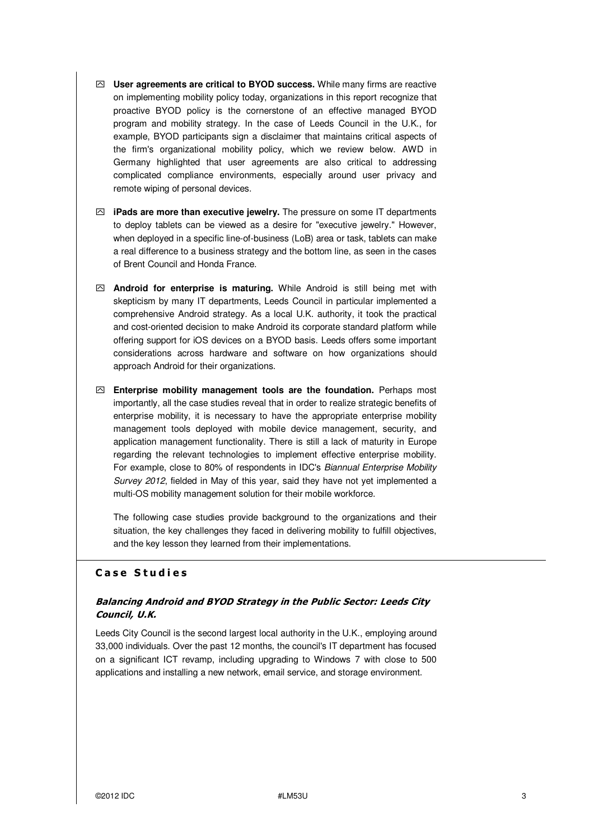- ִ **User agreements are critical to BYOD success.** While many firms are reactive on implementing mobility policy today, organizations in this report recognize that proactive BYOD policy is the cornerstone of an effective managed BYOD program and mobility strategy. In the case of Leeds Council in the U.K., for example, BYOD participants sign a disclaimer that maintains critical aspects of the firm's organizational mobility policy, which we review below. AWD in Germany highlighted that user agreements are also critical to addressing complicated compliance environments, especially around user privacy and remote wiping of personal devices.
- ִ **iPads are more than executive jewelry.** The pressure on some IT departments to deploy tablets can be viewed as a desire for "executive jewelry." However, when deployed in a specific line-of-business (LoB) area or task, tablets can make a real difference to a business strategy and the bottom line, as seen in the cases of Brent Council and Honda France.
- ִ **Android for enterprise is maturing.** While Android is still being met with skepticism by many IT departments, Leeds Council in particular implemented a comprehensive Android strategy. As a local U.K. authority, it took the practical and cost-oriented decision to make Android its corporate standard platform while offering support for iOS devices on a BYOD basis. Leeds offers some important considerations across hardware and software on how organizations should approach Android for their organizations.
- ִ **Enterprise mobility management tools are the foundation.** Perhaps most importantly, all the case studies reveal that in order to realize strategic benefits of enterprise mobility, it is necessary to have the appropriate enterprise mobility management tools deployed with mobile device management, security, and application management functionality. There is still a lack of maturity in Europe regarding the relevant technologies to implement effective enterprise mobility. For example, close to 80% of respondents in IDC's Biannual Enterprise Mobility Survey 2012, fielded in May of this year, said they have not yet implemented a multi-OS mobility management solution for their mobile workforce.

The following case studies provide background to the organizations and their situation, the key challenges they faced in delivering mobility to fulfill objectives, and the key lesson they learned from their implementations.

## **C a s e S t u d i e s**

## **Balancing Android and BYOD Strategy in the Public Sector: Leeds City Council, U.K.**

Leeds City Council is the second largest local authority in the U.K., employing around 33,000 individuals. Over the past 12 months, the council's IT department has focused on a significant ICT revamp, including upgrading to Windows 7 with close to 500 applications and installing a new network, email service, and storage environment.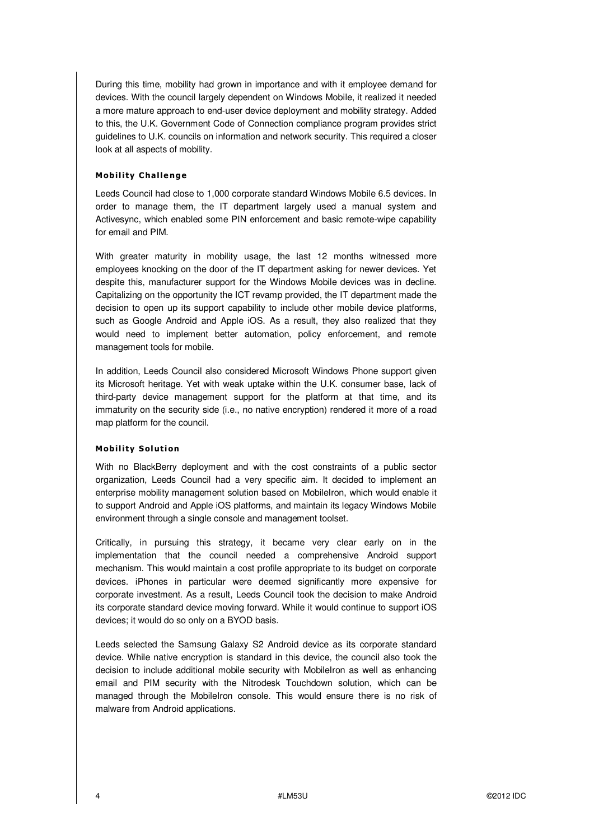During this time, mobility had grown in importance and with it employee demand for devices. With the council largely dependent on Windows Mobile, it realized it needed a more mature approach to end-user device deployment and mobility strategy. Added to this, the U.K. Government Code of Connection compliance program provides strict guidelines to U.K. councils on information and network security. This required a closer look at all aspects of mobility.

## **Mobil ity C halle nge**

Leeds Council had close to 1,000 corporate standard Windows Mobile 6.5 devices. In order to manage them, the IT department largely used a manual system and Activesync, which enabled some PIN enforcement and basic remote-wipe capability for email and PIM.

With greater maturity in mobility usage, the last 12 months witnessed more employees knocking on the door of the IT department asking for newer devices. Yet despite this, manufacturer support for the Windows Mobile devices was in decline. Capitalizing on the opportunity the ICT revamp provided, the IT department made the decision to open up its support capability to include other mobile device platforms, such as Google Android and Apple iOS. As a result, they also realized that they would need to implement better automation, policy enforcement, and remote management tools for mobile.

In addition, Leeds Council also considered Microsoft Windows Phone support given its Microsoft heritage. Yet with weak uptake within the U.K. consumer base, lack of third-party device management support for the platform at that time, and its immaturity on the security side (i.e., no native encryption) rendered it more of a road map platform for the council.

### **Mobil ity S ol uti on**

With no BlackBerry deployment and with the cost constraints of a public sector organization, Leeds Council had a very specific aim. It decided to implement an enterprise mobility management solution based on MobileIron, which would enable it to support Android and Apple iOS platforms, and maintain its legacy Windows Mobile environment through a single console and management toolset.

Critically, in pursuing this strategy, it became very clear early on in the implementation that the council needed a comprehensive Android support mechanism. This would maintain a cost profile appropriate to its budget on corporate devices. iPhones in particular were deemed significantly more expensive for corporate investment. As a result, Leeds Council took the decision to make Android its corporate standard device moving forward. While it would continue to support iOS devices; it would do so only on a BYOD basis.

Leeds selected the Samsung Galaxy S2 Android device as its corporate standard device. While native encryption is standard in this device, the council also took the decision to include additional mobile security with MobileIron as well as enhancing email and PIM security with the Nitrodesk Touchdown solution, which can be managed through the MobileIron console. This would ensure there is no risk of malware from Android applications.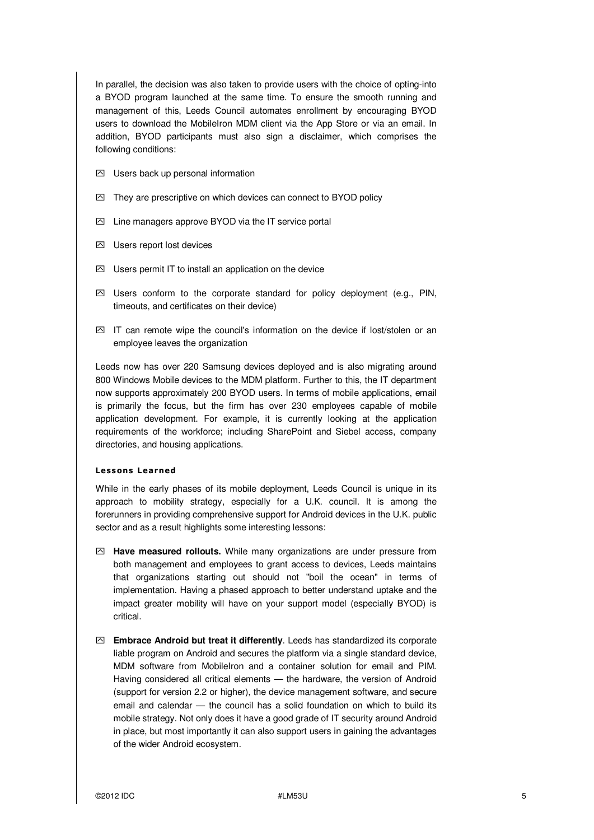In parallel, the decision was also taken to provide users with the choice of opting-into a BYOD program launched at the same time. To ensure the smooth running and management of this, Leeds Council automates enrollment by encouraging BYOD users to download the MobileIron MDM client via the App Store or via an email. In addition, BYOD participants must also sign a disclaimer, which comprises the following conditions:

- $\boxtimes$  Users back up personal information
- $\boxtimes$  They are prescriptive on which devices can connect to BYOD policy
- $\boxtimes$  Line managers approve BYOD via the IT service portal
- ִ Users report lost devices
- $\oslash$  Users permit IT to install an application on the device
- $\boxtimes$  Users conform to the corporate standard for policy deployment (e.g., PIN, timeouts, and certificates on their device)
- $\boxtimes$  IT can remote wipe the council's information on the device if lost/stolen or an employee leaves the organization

Leeds now has over 220 Samsung devices deployed and is also migrating around 800 Windows Mobile devices to the MDM platform. Further to this, the IT department now supports approximately 200 BYOD users. In terms of mobile applications, email is primarily the focus, but the firm has over 230 employees capable of mobile application development. For example, it is currently looking at the application requirements of the workforce; including SharePoint and Siebel access, company directories, and housing applications.

#### **Less ons Learned**

While in the early phases of its mobile deployment, Leeds Council is unique in its approach to mobility strategy, especially for a U.K. council. It is among the forerunners in providing comprehensive support for Android devices in the U.K. public sector and as a result highlights some interesting lessons:

- ִ **Have measured rollouts.** While many organizations are under pressure from both management and employees to grant access to devices, Leeds maintains that organizations starting out should not "boil the ocean" in terms of implementation. Having a phased approach to better understand uptake and the impact greater mobility will have on your support model (especially BYOD) is critical.
- ִ **Embrace Android but treat it differently**. Leeds has standardized its corporate liable program on Android and secures the platform via a single standard device, MDM software from MobileIron and a container solution for email and PIM. Having considered all critical elements — the hardware, the version of Android (support for version 2.2 or higher), the device management software, and secure email and calendar — the council has a solid foundation on which to build its mobile strategy. Not only does it have a good grade of IT security around Android in place, but most importantly it can also support users in gaining the advantages of the wider Android ecosystem.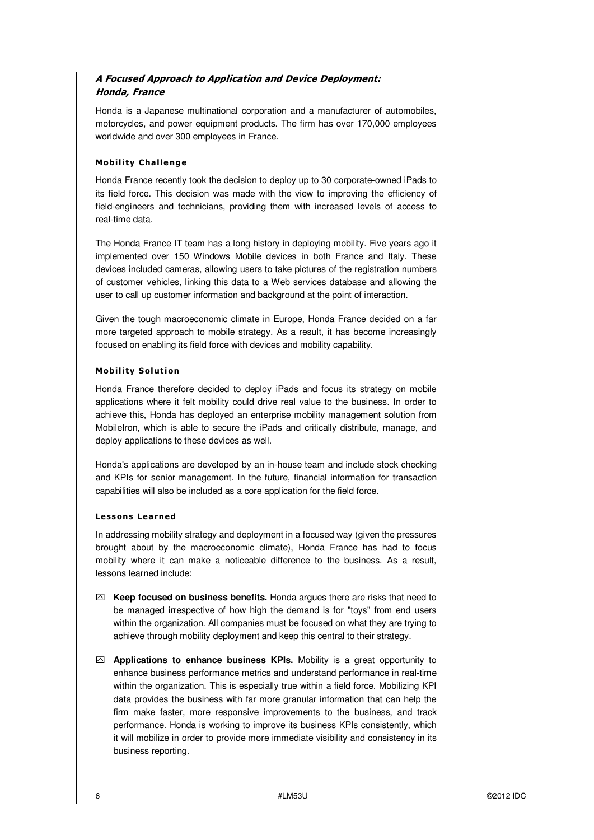# **A Focused Approach to Application and Device Deployment: Honda, France**

Honda is a Japanese multinational corporation and a manufacturer of automobiles, motorcycles, and power equipment products. The firm has over 170,000 employees worldwide and over 300 employees in France.

## **Mobil ity C halle nge**

Honda France recently took the decision to deploy up to 30 corporate-owned iPads to its field force. This decision was made with the view to improving the efficiency of field-engineers and technicians, providing them with increased levels of access to real-time data.

The Honda France IT team has a long history in deploying mobility. Five years ago it implemented over 150 Windows Mobile devices in both France and Italy. These devices included cameras, allowing users to take pictures of the registration numbers of customer vehicles, linking this data to a Web services database and allowing the user to call up customer information and background at the point of interaction.

Given the tough macroeconomic climate in Europe, Honda France decided on a far more targeted approach to mobile strategy. As a result, it has become increasingly focused on enabling its field force with devices and mobility capability.

## **Mobility Solution**

Honda France therefore decided to deploy iPads and focus its strategy on mobile applications where it felt mobility could drive real value to the business. In order to achieve this, Honda has deployed an enterprise mobility management solution from MobileIron, which is able to secure the iPads and critically distribute, manage, and deploy applications to these devices as well.

Honda's applications are developed by an in-house team and include stock checking and KPIs for senior management. In the future, financial information for transaction capabilities will also be included as a core application for the field force.

### **Less ons Learned**

In addressing mobility strategy and deployment in a focused way (given the pressures brought about by the macroeconomic climate), Honda France has had to focus mobility where it can make a noticeable difference to the business. As a result, lessons learned include:

- ִ **Keep focused on business benefits.** Honda argues there are risks that need to be managed irrespective of how high the demand is for "toys" from end users within the organization. All companies must be focused on what they are trying to achieve through mobility deployment and keep this central to their strategy.
- $\oslash$  **Applications to enhance business KPIs.** Mobility is a great opportunity to enhance business performance metrics and understand performance in real-time within the organization. This is especially true within a field force. Mobilizing KPI data provides the business with far more granular information that can help the firm make faster, more responsive improvements to the business, and track performance. Honda is working to improve its business KPIs consistently, which it will mobilize in order to provide more immediate visibility and consistency in its business reporting.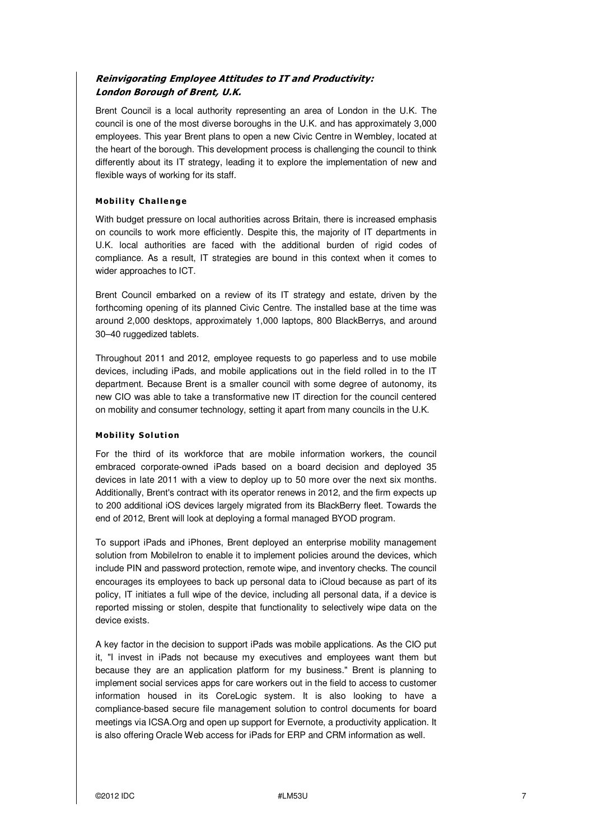## **Reinvigorating Employee Attitudes to IT and Productivity: London Borough of Brent, U.K.**

Brent Council is a local authority representing an area of London in the U.K. The council is one of the most diverse boroughs in the U.K. and has approximately 3,000 employees. This year Brent plans to open a new Civic Centre in Wembley, located at the heart of the borough. This development process is challenging the council to think differently about its IT strategy, leading it to explore the implementation of new and flexible ways of working for its staff.

## **Mobil ity C halle nge**

With budget pressure on local authorities across Britain, there is increased emphasis on councils to work more efficiently. Despite this, the majority of IT departments in U.K. local authorities are faced with the additional burden of rigid codes of compliance. As a result, IT strategies are bound in this context when it comes to wider approaches to ICT.

Brent Council embarked on a review of its IT strategy and estate, driven by the forthcoming opening of its planned Civic Centre. The installed base at the time was around 2,000 desktops, approximately 1,000 laptops, 800 BlackBerrys, and around 30–40 ruggedized tablets.

Throughout 2011 and 2012, employee requests to go paperless and to use mobile devices, including iPads, and mobile applications out in the field rolled in to the IT department. Because Brent is a smaller council with some degree of autonomy, its new CIO was able to take a transformative new IT direction for the council centered on mobility and consumer technology, setting it apart from many councils in the U.K.

### **Mobility Solution**

For the third of its workforce that are mobile information workers, the council embraced corporate-owned iPads based on a board decision and deployed 35 devices in late 2011 with a view to deploy up to 50 more over the next six months. Additionally, Brent's contract with its operator renews in 2012, and the firm expects up to 200 additional iOS devices largely migrated from its BlackBerry fleet. Towards the end of 2012, Brent will look at deploying a formal managed BYOD program.

To support iPads and iPhones, Brent deployed an enterprise mobility management solution from MobileIron to enable it to implement policies around the devices, which include PIN and password protection, remote wipe, and inventory checks. The council encourages its employees to back up personal data to iCloud because as part of its policy, IT initiates a full wipe of the device, including all personal data, if a device is reported missing or stolen, despite that functionality to selectively wipe data on the device exists.

A key factor in the decision to support iPads was mobile applications. As the CIO put it, "I invest in iPads not because my executives and employees want them but because they are an application platform for my business." Brent is planning to implement social services apps for care workers out in the field to access to customer information housed in its CoreLogic system. It is also looking to have a compliance-based secure file management solution to control documents for board meetings via ICSA.Org and open up support for Evernote, a productivity application. It is also offering Oracle Web access for iPads for ERP and CRM information as well.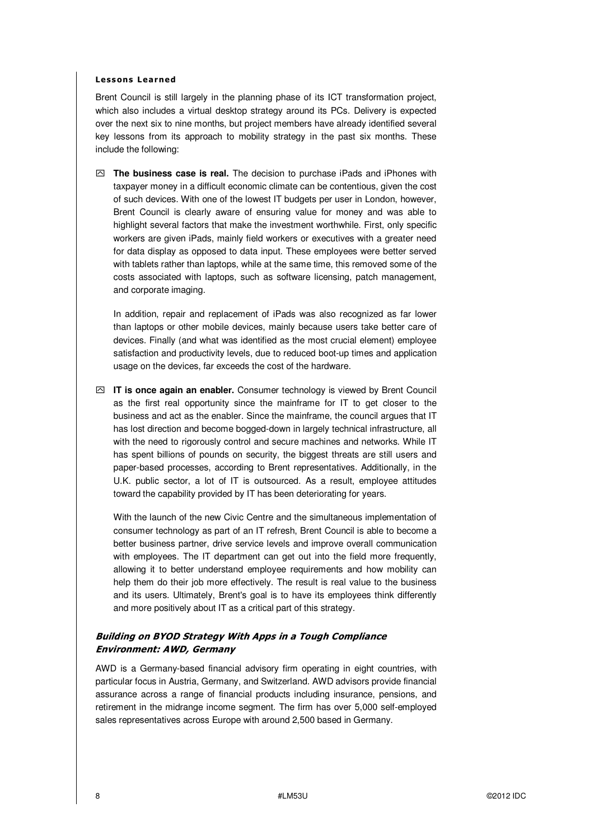#### **Less ons Learned**

Brent Council is still largely in the planning phase of its ICT transformation project, which also includes a virtual desktop strategy around its PCs. Delivery is expected over the next six to nine months, but project members have already identified several key lessons from its approach to mobility strategy in the past six months. These include the following:

ִ **The business case is real.** The decision to purchase iPads and iPhones with taxpayer money in a difficult economic climate can be contentious, given the cost of such devices. With one of the lowest IT budgets per user in London, however, Brent Council is clearly aware of ensuring value for money and was able to highlight several factors that make the investment worthwhile. First, only specific workers are given iPads, mainly field workers or executives with a greater need for data display as opposed to data input. These employees were better served with tablets rather than laptops, while at the same time, this removed some of the costs associated with laptops, such as software licensing, patch management, and corporate imaging.

In addition, repair and replacement of iPads was also recognized as far lower than laptops or other mobile devices, mainly because users take better care of devices. Finally (and what was identified as the most crucial element) employee satisfaction and productivity levels, due to reduced boot-up times and application usage on the devices, far exceeds the cost of the hardware.

ִ **IT is once again an enabler.** Consumer technology is viewed by Brent Council as the first real opportunity since the mainframe for IT to get closer to the business and act as the enabler. Since the mainframe, the council argues that IT has lost direction and become bogged-down in largely technical infrastructure, all with the need to rigorously control and secure machines and networks. While IT has spent billions of pounds on security, the biggest threats are still users and paper-based processes, according to Brent representatives. Additionally, in the U.K. public sector, a lot of IT is outsourced. As a result, employee attitudes toward the capability provided by IT has been deteriorating for years.

With the launch of the new Civic Centre and the simultaneous implementation of consumer technology as part of an IT refresh, Brent Council is able to become a better business partner, drive service levels and improve overall communication with employees. The IT department can get out into the field more frequently. allowing it to better understand employee requirements and how mobility can help them do their job more effectively. The result is real value to the business and its users. Ultimately, Brent's goal is to have its employees think differently and more positively about IT as a critical part of this strategy.

## **Building on BYOD Strategy With Apps in a Tough Compliance Environment: AWD, Germany**

AWD is a Germany-based financial advisory firm operating in eight countries, with particular focus in Austria, Germany, and Switzerland. AWD advisors provide financial assurance across a range of financial products including insurance, pensions, and retirement in the midrange income segment. The firm has over 5,000 self-employed sales representatives across Europe with around 2,500 based in Germany.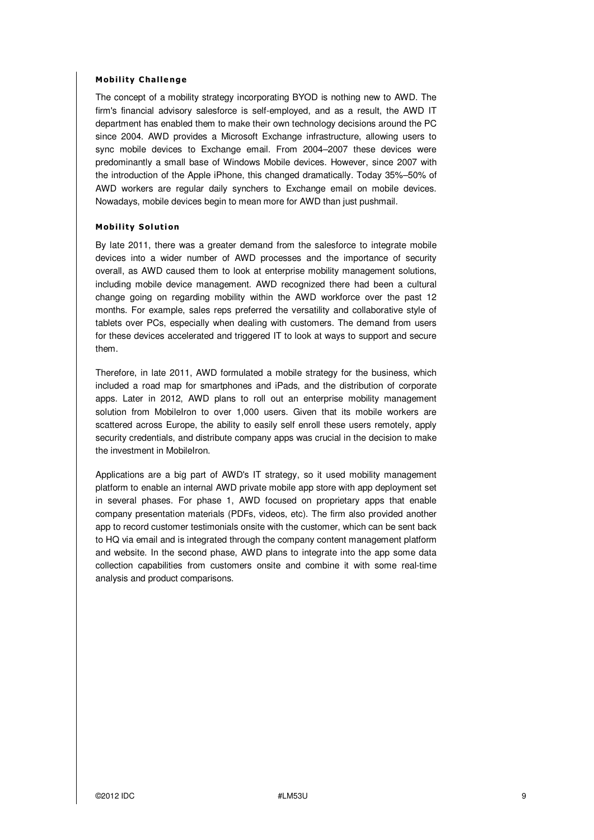### **Mobil ity C halle nge**

The concept of a mobility strategy incorporating BYOD is nothing new to AWD. The firm's financial advisory salesforce is self-employed, and as a result, the AWD IT department has enabled them to make their own technology decisions around the PC since 2004. AWD provides a Microsoft Exchange infrastructure, allowing users to sync mobile devices to Exchange email. From 2004–2007 these devices were predominantly a small base of Windows Mobile devices. However, since 2007 with the introduction of the Apple iPhone, this changed dramatically. Today 35%–50% of AWD workers are regular daily synchers to Exchange email on mobile devices. Nowadays, mobile devices begin to mean more for AWD than just pushmail.

### **Mobil ity S ol uti on**

By late 2011, there was a greater demand from the salesforce to integrate mobile devices into a wider number of AWD processes and the importance of security overall, as AWD caused them to look at enterprise mobility management solutions, including mobile device management. AWD recognized there had been a cultural change going on regarding mobility within the AWD workforce over the past 12 months. For example, sales reps preferred the versatility and collaborative style of tablets over PCs, especially when dealing with customers. The demand from users for these devices accelerated and triggered IT to look at ways to support and secure them.

Therefore, in late 2011, AWD formulated a mobile strategy for the business, which included a road map for smartphones and iPads, and the distribution of corporate apps. Later in 2012, AWD plans to roll out an enterprise mobility management solution from MobileIron to over 1,000 users. Given that its mobile workers are scattered across Europe, the ability to easily self enroll these users remotely, apply security credentials, and distribute company apps was crucial in the decision to make the investment in MobileIron.

Applications are a big part of AWD's IT strategy, so it used mobility management platform to enable an internal AWD private mobile app store with app deployment set in several phases. For phase 1, AWD focused on proprietary apps that enable company presentation materials (PDFs, videos, etc). The firm also provided another app to record customer testimonials onsite with the customer, which can be sent back to HQ via email and is integrated through the company content management platform and website. In the second phase, AWD plans to integrate into the app some data collection capabilities from customers onsite and combine it with some real-time analysis and product comparisons.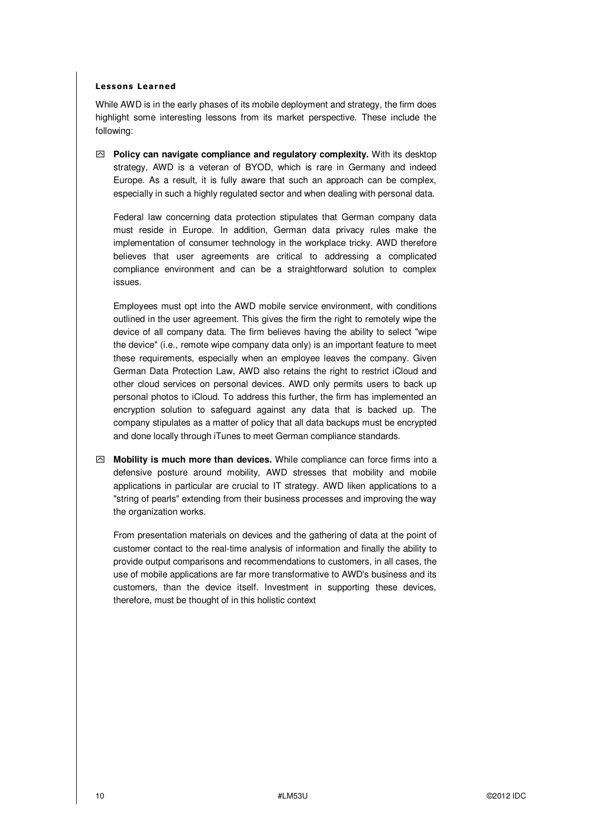### **Less ons Learned**

While AWD is in the early phases of its mobile deployment and strategy, the firm does highlight some interesting lessons from its market perspective. These include the following:

 $\oslash$  **Policy can navigate compliance and regulatory complexity.** With its desktop strategy, AWD is a veteran of BYOD, which is rare in Germany and indeed Europe. As a result, it is fully aware that such an approach can be complex, especially in such a highly regulated sector and when dealing with personal data.

Federal law concerning data protection stipulates that German company data must reside in Europe. In addition, German data privacy rules make the implementation of consumer technology in the workplace tricky. AWD therefore believes that user agreements are critical to addressing a complicated compliance environment and can be a straightforward solution to complex issues.

Employees must opt into the AWD mobile service environment, with conditions outlined in the user agreement. This gives the firm the right to remotely wipe the device of all company data. The firm believes having the ability to select "wipe the device" (i.e., remote wipe company data only) is an important feature to meet these requirements, especially when an employee leaves the company. Given German Data Protection Law, AWD also retains the right to restrict iCloud and other cloud services on personal devices. AWD only permits users to back up personal photos to iCloud. To address this further, the firm has implemented an encryption solution to safeguard against any data that is backed up. The company stipulates as a matter of policy that all data backups must be encrypted and done locally through iTunes to meet German compliance standards.

ִ **Mobility is much more than devices.** While compliance can force firms into a defensive posture around mobility, AWD stresses that mobility and mobile applications in particular are crucial to IT strategy. AWD liken applications to a "string of pearls" extending from their business processes and improving the way the organization works.

From presentation materials on devices and the gathering of data at the point of customer contact to the real-time analysis of information and finally the ability to provide output comparisons and recommendations to customers, in all cases, the use of mobile applications are far more transformative to AWD's business and its customers, than the device itself. Investment in supporting these devices, therefore, must be thought of in this holistic context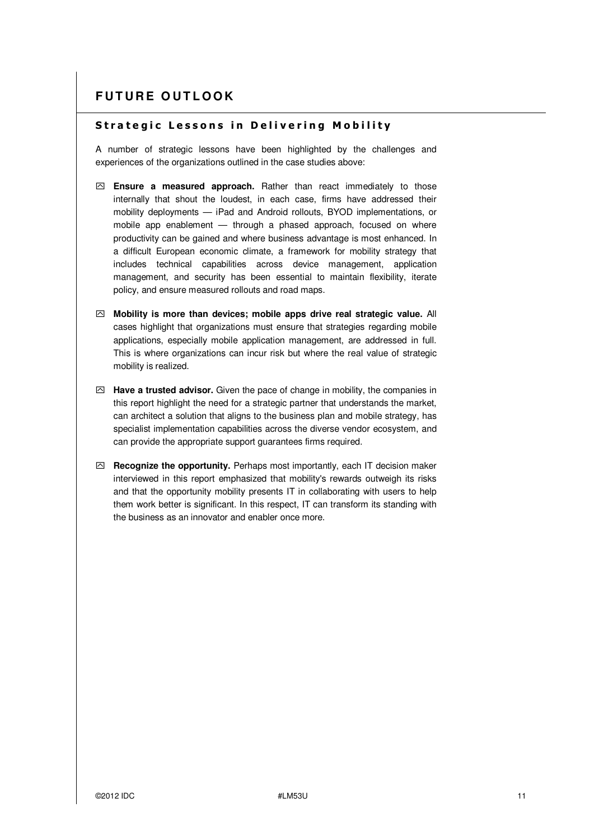## **Strategic Lessons in Delivering Mobility**

A number of strategic lessons have been highlighted by the challenges and experiences of the organizations outlined in the case studies above:

- ִ **Ensure a measured approach.** Rather than react immediately to those internally that shout the loudest, in each case, firms have addressed their mobility deployments — iPad and Android rollouts, BYOD implementations, or mobile app enablement — through a phased approach, focused on where productivity can be gained and where business advantage is most enhanced. In a difficult European economic climate, a framework for mobility strategy that includes technical capabilities across device management, application management, and security has been essential to maintain flexibility, iterate policy, and ensure measured rollouts and road maps.
- ִ **Mobility is more than devices; mobile apps drive real strategic value.** All cases highlight that organizations must ensure that strategies regarding mobile applications, especially mobile application management, are addressed in full. This is where organizations can incur risk but where the real value of strategic mobility is realized.
- ִ **Have a trusted advisor.** Given the pace of change in mobility, the companies in this report highlight the need for a strategic partner that understands the market, can architect a solution that aligns to the business plan and mobile strategy, has specialist implementation capabilities across the diverse vendor ecosystem, and can provide the appropriate support guarantees firms required.
- ִ **Recognize the opportunity.** Perhaps most importantly, each IT decision maker interviewed in this report emphasized that mobility's rewards outweigh its risks and that the opportunity mobility presents IT in collaborating with users to help them work better is significant. In this respect, IT can transform its standing with the business as an innovator and enabler once more.